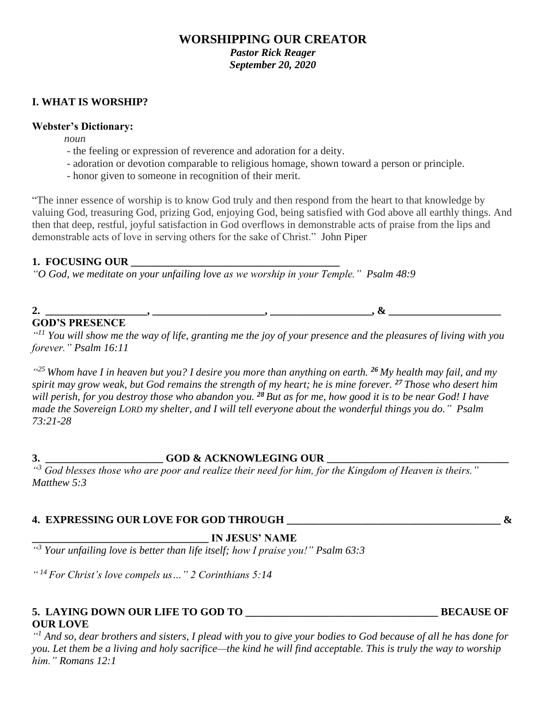# **WORSHIPPING OUR CREATOR** *Pastor Rick Reager*

*September 20, 2020*

## **I. WHAT IS WORSHIP?**

### **Webster's Dictionary:**

*noun*

- the feeling or expression of reverence and adoration for a deity.
- adoration or devotion comparable to religious homage, shown toward a person or principle.
- honor given to someone in recognition of their merit.

"The inner essence of worship is to know God truly and then respond from the heart to that knowledge by valuing God, treasuring God, prizing God, enjoying God, being satisfied with God above all earthly things. And then that deep, restful, joyful satisfaction in God overflows in demonstrable acts of praise from the lips and demonstrable acts of love in serving others for the sake of Christ." John Piper

## 1. FOCUSING OUR

*"O God, we meditate on your unfailing love as we worship in your Temple." Psalm 48:9*

# **2. \_\_\_\_\_\_\_\_\_\_\_\_\_\_\_\_\_\_\_, \_\_\_\_\_\_\_\_\_\_\_\_\_\_\_\_\_\_\_\_\_, \_\_\_\_\_\_\_\_\_\_\_\_\_\_\_\_\_\_\_, & \_\_\_\_\_\_\_\_\_\_\_\_\_\_\_\_\_\_\_\_\_ GOD'S PRESENCE**

*" <sup>11</sup> You will show me the way of life, granting me the joy of your presence and the pleasures of living with you forever." Psalm 16:11* 

*" <sup>25</sup>Whom have I in heaven but you? I desire you more than anything on earth. <sup>26</sup> My health may fail, and my spirit may grow weak, but God remains the strength of my heart; he is mine forever. <sup>27</sup> Those who desert him will perish, for you destroy those who abandon you. <sup>28</sup> But as for me, how good it is to be near God! I have made the Sovereign LORD my shelter, and I will tell everyone about the wonderful things you do." Psalm 73:21-28*

# **3. \_\_\_\_\_\_\_\_\_\_\_\_\_\_\_\_\_\_\_\_\_\_ GOD & ACKNOWLEGING OUR \_\_\_\_\_\_\_\_\_\_\_\_\_\_\_\_\_\_\_\_\_\_\_\_\_\_\_\_\_\_\_\_\_\_**

*" <sup>3</sup> God blesses those who are poor and realize their need for him, for the Kingdom of Heaven is theirs." Matthew 5:3*

## **4. EXPRESSING OUR LOVE FOR GOD THROUGH \_\_\_\_\_\_\_\_\_\_\_\_\_\_\_\_\_\_\_\_\_\_\_\_\_\_\_\_\_\_\_\_\_\_\_\_\_\_\_\_ &**

**\_\_\_\_\_\_\_\_\_\_\_\_\_\_\_\_\_\_\_\_\_\_\_\_\_\_\_\_\_\_\_\_\_ IN JESUS' NAME** 

*" <sup>3</sup> Your unfailing love is better than life itself; how I praise you!" Psalm 63:3*

*" <sup>14</sup>For Christ's love compels us…" 2 Corinthians 5:14*

## **5. LAYING DOWN OUR LIFE TO GOD TO \_\_\_\_\_\_\_\_\_\_\_\_\_\_\_\_\_\_\_\_\_\_\_\_\_\_\_\_\_\_\_\_\_\_\_\_ BECAUSE OF OUR LOVE**

*" <sup>1</sup> And so, dear brothers and sisters, I plead with you to give your bodies to God because of all he has done for you. Let them be a living and holy sacrifice—the kind he will find acceptable. This is truly the way to worship him." Romans 12:1*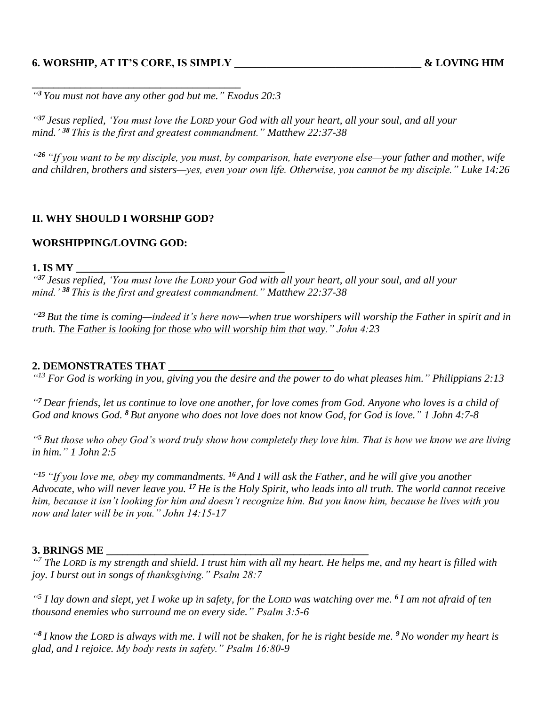## **6. WORSHIP, AT IT'S CORE, IS SIMPLY \_\_\_\_\_\_\_\_\_\_\_\_\_\_\_\_\_\_\_\_\_\_\_\_\_\_\_\_\_\_\_\_\_\_\_ & LOVING HIM**

**\_\_\_\_\_\_\_\_\_\_\_\_\_\_\_\_\_\_\_\_\_\_\_\_\_\_\_\_\_\_\_\_\_\_\_\_\_\_\_**

*" <sup>3</sup>You must not have any other god but me." Exodus 20:3* 

*" <sup>37</sup> Jesus replied, 'You must love the LORD your God with all your heart, all your soul, and all your mind.' <sup>38</sup> This is the first and greatest commandment." Matthew 22:37-38* 

*" <sup>26</sup> "If you want to be my disciple, you must, by comparison, hate everyone else—your father and mother, wife and children, brothers and sisters—yes, even your own life. Otherwise, you cannot be my disciple." Luke 14:26*

### **II. WHY SHOULD I WORSHIP GOD?**

#### **WORSHIPPING/LOVING GOD:**

#### **1. IS MY \_\_\_\_\_\_\_\_\_\_\_\_\_\_\_\_\_\_\_\_\_\_\_\_\_\_\_\_\_\_\_\_\_\_\_\_\_\_\_**

*" <sup>37</sup> Jesus replied, 'You must love the LORD your God with all your heart, all your soul, and all your mind.' <sup>38</sup> This is the first and greatest commandment." Matthew 22:37-38* 

*" <sup>23</sup> But the time is coming—indeed it's here now—when true worshipers will worship the Father in spirit and in truth. The Father is looking for those who will worship him that way." John 4:23*

#### **2. DEMONSTRATES THAT \_\_\_\_\_\_\_\_\_\_\_\_\_\_\_\_\_\_\_\_\_\_\_\_\_\_\_\_\_\_\_**

*" <sup>13</sup> For God is working in you, giving you the desire and the power to do what pleases him." Philippians 2:13*

*" <sup>7</sup> Dear friends, let us continue to love one another, for love comes from God. Anyone who loves is a child of God and knows God. <sup>8</sup> But anyone who does not love does not know God, for God is love." 1 John 4:7-8*

*" <sup>5</sup> But those who obey God's word truly show how completely they love him. That is how we know we are living in him." 1 John 2:5*

*" <sup>15</sup> "If you love me, obey my commandments. <sup>16</sup> And I will ask the Father, and he will give you another Advocate, who will never leave you. <sup>17</sup> He is the Holy Spirit, who leads into all truth. The world cannot receive him, because it isn't looking for him and doesn't recognize him. But you know him, because he lives with you now and later will be in you." John 14:15-17*

### **3. BRINGS ME \_\_\_\_\_\_\_\_\_\_\_\_\_\_\_\_\_\_\_\_\_\_\_\_\_\_\_\_\_\_\_\_\_\_\_\_\_\_\_\_\_\_\_\_\_\_\_\_\_**

*" <sup>7</sup> The LORD is my strength and shield. I trust him with all my heart. He helps me, and my heart is filled with joy. I burst out in songs of thanksgiving." Psalm 28:7*

*" 5 I lay down and slept, yet I woke up in safety, for the LORD was watching over me. <sup>6</sup> I am not afraid of ten thousand enemies who surround me on every side." Psalm 3:5-6*

*" 8 I know the LORD is always with me. I will not be shaken, for he is right beside me. <sup>9</sup> No wonder my heart is glad, and I rejoice. My body rests in safety." Psalm 16:80-9*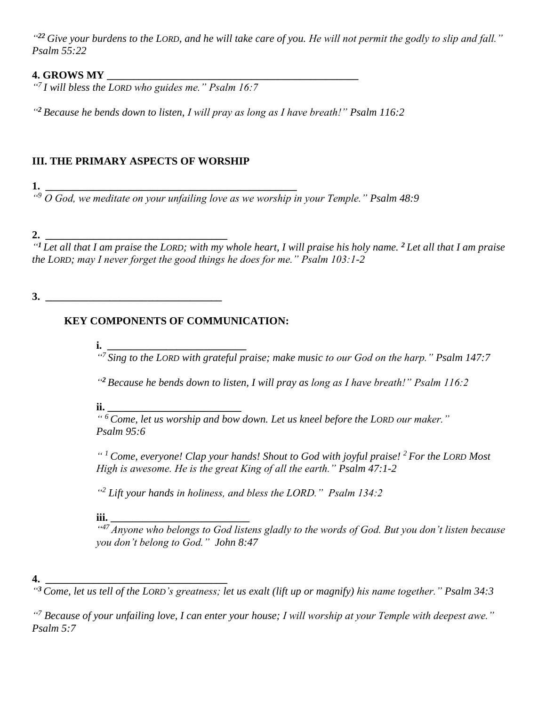*" <sup>22</sup> Give your burdens to the LORD, and he will take care of you. He will not permit the godly to slip and fall." Psalm 55:22*

## **4. GROWS MY \_\_\_\_\_\_\_\_\_\_\_\_\_\_\_\_\_\_\_\_\_\_\_\_\_\_\_\_\_\_\_\_\_\_\_\_\_\_\_\_\_\_\_\_\_\_\_**

*" <sup>7</sup>I will bless the LORD who guides me." Psalm 16:7*

*" <sup>2</sup> Because he bends down to listen, I will pray as long as I have breath!" Psalm 116:2*

# **III. THE PRIMARY ASPECTS OF WORSHIP**

**1. \_\_\_\_\_\_\_\_\_\_\_\_\_\_\_\_\_\_\_\_\_\_\_\_\_\_\_\_\_\_\_\_\_\_\_\_\_\_\_\_\_\_\_\_\_\_\_** 

*" <sup>9</sup> O God, we meditate on your unfailing love as we worship in your Temple." Psalm 48:9* 

## **2. \_\_\_\_\_\_\_\_\_\_\_\_\_\_\_\_\_\_\_\_\_\_\_\_\_\_\_\_\_\_\_\_\_\_**

*" <sup>1</sup> Let all that I am praise the LORD; with my whole heart, I will praise his holy name. <sup>2</sup> Let all that I am praise the LORD; may I never forget the good things he does for me." Psalm 103:1-2*

## **3. \_\_\_\_\_\_\_\_\_\_\_\_\_\_\_\_\_\_\_\_\_\_\_\_\_\_\_\_\_\_\_\_\_**

# **KEY COMPONENTS OF COMMUNICATION:**

**i. \_\_\_\_\_\_\_\_\_\_\_\_\_\_\_\_\_\_\_\_\_\_\_\_\_\_**

*" 7 Sing to the LORD with grateful praise; make music to our God on the harp." Psalm 147:7*

*" <sup>2</sup> Because he bends down to listen, I will pray as long as I have breath!" Psalm 116:2*

**ii. \_\_\_\_\_\_\_\_\_\_\_\_\_\_\_\_\_\_\_\_\_\_\_\_\_**

*" <sup>6</sup>Come, let us worship and bow down. Let us kneel before the LORD our maker." Psalm 95:6* 

*" <sup>1</sup>Come, everyone! Clap your hands! Shout to God with joyful praise! <sup>2</sup> For the LORD Most High is awesome. He is the great King of all the earth." Psalm 47:1-2* 

*" <sup>2</sup> Lift your hands in holiness, and bless the LORD." Psalm 134:2*

**iii. \_\_\_\_\_\_\_\_\_\_\_\_\_\_\_\_\_\_\_\_\_\_\_\_\_\_**

*" <sup>47</sup> Anyone who belongs to God listens gladly to the words of God. But you don't listen because you don't belong to God." John 8:47*

## **4. \_\_\_\_\_\_\_\_\_\_\_\_\_\_\_\_\_\_\_\_\_\_\_\_\_\_\_\_\_\_\_\_\_\_**

*" <sup>3</sup>Come, let us tell of the LORD's greatness; let us exalt (lift up or magnify) his name together." Psalm 34:3*

*" <sup>7</sup> Because of your unfailing love, I can enter your house; I will worship at your Temple with deepest awe." Psalm 5:7*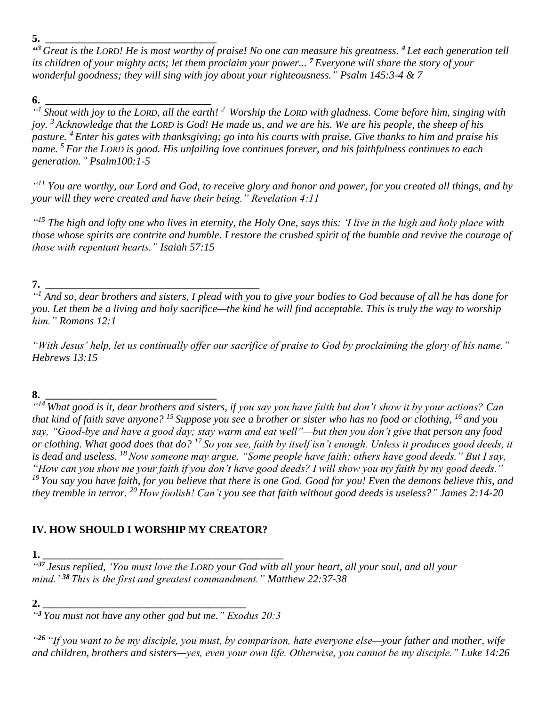*" <sup>3</sup> Great is the LORD! He is most worthy of praise! No one can measure his greatness. <sup>4</sup> Let each generation tell its children of your mighty acts; let them proclaim your power... <sup>7</sup> Everyone will share the story of your wonderful goodness; they will sing with joy about your righteousness." Psalm 145:3-4 & 7*

**6. \_\_\_\_\_\_\_\_\_\_\_\_\_\_\_\_\_\_\_\_\_\_\_\_\_\_\_\_\_\_\_** *" 1 Shout with joy to the LORD, all the earth! <sup>2</sup> Worship the LORD with gladness. Come before him, singing with joy. <sup>3</sup> Acknowledge that the LORD is God! He made us, and we are his. We are his people, the sheep of his pasture. <sup>4</sup> Enter his gates with thanksgiving; go into his courts with praise. Give thanks to him and praise his name. <sup>5</sup> For the LORD is good. His unfailing love continues forever, and his faithfulness continues to each generation." Psalm100:1-5*

*" <sup>11</sup> You are worthy, our Lord and God, to receive glory and honor and power, for you created all things, and by your will they were created and have their being." Revelation 4:11*

*" <sup>15</sup> The high and lofty one who lives in eternity, the Holy One, says this: 'I live in the high and holy place with those whose spirits are contrite and humble. I restore the crushed spirit of the humble and revive the courage of those with repentant hearts." Isaiah 57:15*

# **7. \_\_\_\_\_\_\_\_\_\_\_\_\_\_\_\_\_\_\_\_\_\_\_\_\_\_\_\_\_\_\_\_\_\_\_\_\_\_\_\_**

*" <sup>1</sup> And so, dear brothers and sisters, I plead with you to give your bodies to God because of all he has done for you. Let them be a living and holy sacrifice—the kind he will find acceptable. This is truly the way to worship him." Romans 12:1*

*"With Jesus' help, let us continually offer our sacrifice of praise to God by proclaiming the glory of his name." Hebrews 13:15*

# **8. \_\_\_\_\_\_\_\_\_\_\_\_\_\_\_\_\_\_\_\_\_\_\_\_\_\_\_\_\_\_\_\_**

*" <sup>14</sup> What good is it, dear brothers and sisters, if you say you have faith but don't show it by your actions? Can that kind of faith save anyone? <sup>15</sup> Suppose you see a brother or sister who has no food or clothing, <sup>16</sup> and you say, "Good-bye and have a good day; stay warm and eat well"—but then you don't give that person any food or clothing. What good does that do? <sup>17</sup> So you see, faith by itself isn't enough. Unless it produces good deeds, it is dead and useless. <sup>18</sup>Now someone may argue, "Some people have faith; others have good deeds." But I say, "How can you show me your faith if you don't have good deeds? I will show you my faith by my good deeds." <sup>19</sup> You say you have faith, for you believe that there is one God. Good for you! Even the demons believe this, and they tremble in terror. <sup>20</sup> How foolish! Can't you see that faith without good deeds is useless?" James 2:14-20*

# **IV. HOW SHOULD I WORSHIP MY CREATOR?**

**1. \_\_\_\_\_\_\_\_\_\_\_\_\_\_\_\_\_\_\_\_\_\_\_\_\_\_\_\_\_\_\_\_\_\_\_\_\_\_\_\_\_\_\_\_\_**

*" <sup>37</sup> Jesus replied, 'You must love the LORD your God with all your heart, all your soul, and all your mind.' <sup>38</sup> This is the first and greatest commandment." Matthew 22:37-38* 

## **2. \_\_\_\_\_\_\_\_\_\_\_\_\_\_\_\_\_\_\_\_\_\_\_\_\_\_\_\_\_\_\_\_\_\_\_\_\_\_**

*" <sup>3</sup>You must not have any other god but me." Exodus 20:3* 

*" <sup>26</sup> "If you want to be my disciple, you must, by comparison, hate everyone else—your father and mother, wife and children, brothers and sisters—yes, even your own life. Otherwise, you cannot be my disciple." Luke 14:26*

**<sup>5.</sup> \_\_\_\_\_\_\_\_\_\_\_\_\_\_\_\_\_\_\_\_\_\_\_\_\_\_\_\_\_\_\_\_**